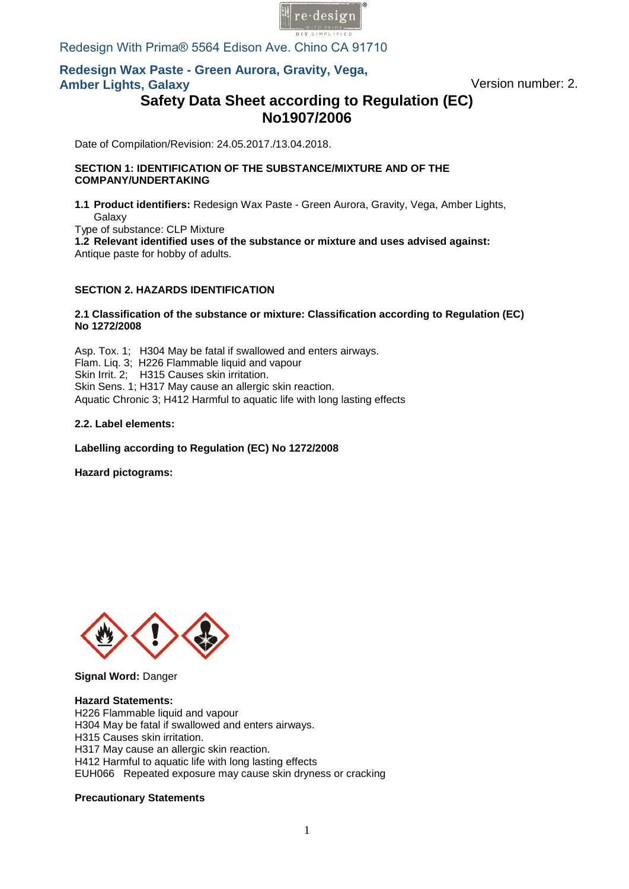

Redesign With Prima® 5564 Edison Ave. Chino CA 91710

# **Redesign Wax Paste - Green Aurora, Gravity, Vega, Amber Lights, Galaxy** Version number: 2.

# **Safety Data Sheet according to Regulation (EC) No1907/2006**

Date of Compilation/Revision: 24.05.2017./13.04.2018.

#### **SECTION 1: IDENTIFICATION OF THE SUBSTANCE/MIXTURE AND OF THE COMPANY/UNDERTAKING**

**1.1 Product identifiers:** Redesign Wax Paste - Green Aurora, Gravity, Vega, Amber Lights, Galaxy Type of substance: CLP Mixture

**1.2 Relevant identified uses of the substance or mixture and uses advised against:**  Antique paste for hobby of adults.

### **SECTION 2. HAZARDS IDENTIFICATION**

#### **2.1 Classification of the substance or mixture: Classification according to Regulation (EC) No 12[72/2008](mailto:info@pentacolor.hu)**

Asp. Tox. 1; H304 May be fatal if swallowed and enters airways. Flam. Liq. 3; H226 Flammable liquid and vapour Skin Irrit. 2; H315 Causes skin irritation. Skin Sens. 1; H317 May cause an allergic skin reaction. Aquatic Chronic 3; H412 Harmful to aquatic life with long lasting effects

#### **2.2. Label elements:**

**Labelling according to Regulation (EC) No 1272/2008**

**Hazard pictograms:** 



**Signal Word:** Danger

**Hazard Statements:**  H226 Flammable liquid and vapour H304 May be fatal if swallowed and enters airways. H315 Causes skin irritation. H317 May cause an allergic skin reaction. H412 Harmful to aquatic life with long lasting effects EUH066 Repeated exposure may cause skin dryness or cracking

#### **Precautionary Statements**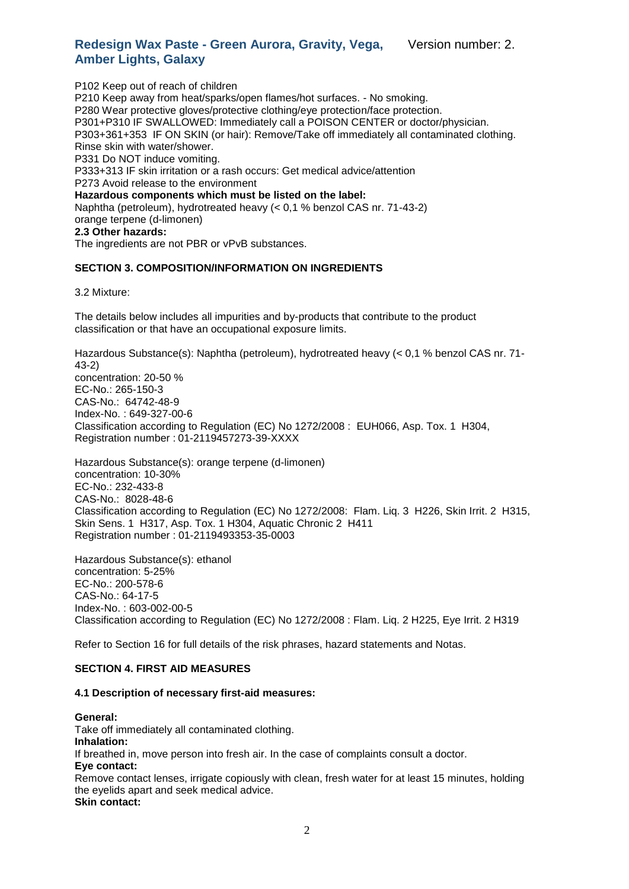P102 Keep out of reach of children P210 Keep away from heat/sparks/open flames/hot surfaces. - No smoking. P280 Wear protective gloves/protective clothing/eye protection/face protection. P301+P310 IF SWALLOWED: Immediately call a POISON CENTER or doctor/physician. P303+361+353 IF ON SKIN (or hair): Remove/Take off immediately all contaminated clothing. Rinse skin with water/shower. P331 Do NOT induce vomiting. P333+313 IF skin irritation or a rash occurs: Get medical advice/attention P273 Avoid release to the environment **Hazardous components which must be listed on the label:** Naphtha (petroleum), hydrotreated heavy (< 0,1 % benzol CAS nr. 71-43-2) orange terpene (d-limonen) **2.3 Other hazards:** The ingredients are not PBR or vPvB substances.

# **SECTION 3. COMPOSITION/INFORMATION ON INGREDIENTS**

3.2 Mixture:

The details below includes all impurities and by-products that contribute to the product classification or that have an occupational exposure limits.

Hazardous Substance(s): Naphtha (petroleum), hydrotreated heavy (< 0,1 % benzol CAS nr. 71- 43-2) concentration: 20-50 % EC-No.: 265-150-3 CAS-No.: 64742-48-9 Index-No. : 649-327-00-6 Classification according to Regulation (EC) No 1272/2008 : EUH066, Asp. Tox. 1 H304, Registration number : 01-2119457273-39-XXXX

Hazardous Substance(s): orange terpene (d-limonen) concentration: 10-30% EC-No.: 232-433-8 CAS-No.: 8028-48-6 Classification according to Regulation (EC) No 1272/2008: Flam. Liq. 3 H226, Skin Irrit. 2 H315, Skin Sens. 1 H317, Asp. Tox. 1 H304, Aquatic Chronic 2 H411 Registration number : 01-2119493353-35-0003

Hazardous Substance(s): ethanol concentration: 5-25% EC-No.: 200-578-6 CAS-No.: 64-17-5 Index-No. : 603-002-00-5 Classification according to Regulation (EC) No 1272/2008 : Flam. Liq. 2 H225, Eye Irrit. 2 H319

Refer to Section 16 for full details of the risk phrases, hazard statements and Notas.

#### **SECTION 4. FIRST AID MEASURES**

#### **4.1 Description of necessary first-aid measures:**

#### **General:**

Take off immediately all contaminated clothing. **Inhalation:** If breathed in, move person into fresh air. In the case of complaints consult a doctor. **Eye contact:** Remove contact lenses, irrigate copiously with clean, fresh water for at least 15 minutes, holding the eyelids apart and seek medical advice. **Skin contact:**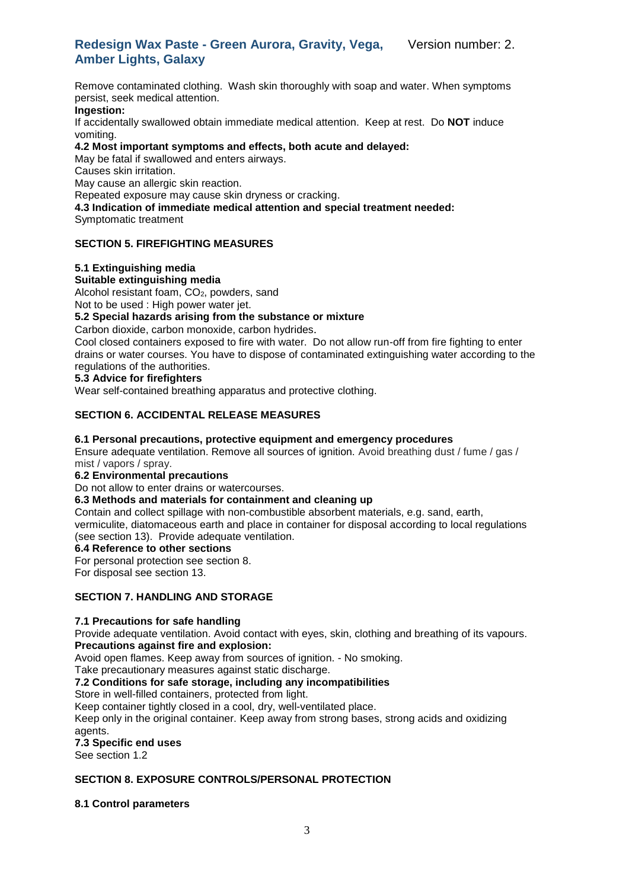#### **Redesign Wax Paste - Green Aurora, Gravity, Vega, Amber Lights, Galaxy** Version number: 2.

Remove contaminated clothing. Wash skin thoroughly with soap and water. When symptoms persist, seek medical attention.

#### **Ingestion:**

If accidentally swallowed obtain immediate medical attention. Keep at rest. Do **NOT** induce vomiting.

**4.2 Most important symptoms and effects, both acute and delayed:**

May be fatal if swallowed and enters airways.

Causes skin irritation.

May cause an allergic skin reaction.

Repeated exposure may cause skin dryness or cracking.

# **4.3 Indication of immediate medical attention and special treatment needed:**

Symptomatic treatment

#### **SECTION 5. FIREFIGHTING MEASURES**

#### **5.1 Extinguishing media**

#### **Suitable extinguishing media**

Alcohol resistant foam, CO<sub>2</sub>, powders, sand

Not to be used : High power water jet.

### **5.2 Special hazards arising from the substance or mixture**

Carbon dioxide, carbon monoxide, carbon hydrides.

Cool closed containers exposed to fire with water. Do not allow run-off from fire fighting to enter drains or water courses. You have to dispose of contaminated extinguishing water according to the regulations of the authorities.

#### **5.3 Advice for firefighters**

Wear self-contained breathing apparatus and protective clothing.

### **SECTION 6. ACCIDENTAL RELEASE MEASURES**

#### **6.1 Personal precautions, protective equipment and emergency procedures**

Ensure adequate ventilation. Remove all sources of ignition. Avoid breathing dust / fume / gas / mist / vapors / spray.

#### **6.2 Environmental precautions**

Do not allow to enter drains or watercourses.

#### **6.3 Methods and materials for containment and cleaning up**

Contain and collect spillage with non-combustible absorbent materials, e.g. sand, earth, vermiculite, diatomaceous earth and place in container for disposal according to local regulations (see section 13). Provide adequate ventilation.

#### **6.4 Reference to other sections**

For personal protection see section 8.

For disposal see section 13.

#### **SECTION 7. HANDLING AND STORAGE**

#### **7.1 Precautions for safe handling**

Provide adequate ventilation. Avoid contact with eyes, skin, clothing and breathing of its vapours. **Precautions against fire and explosion:**

Avoid open flames. Keep away from sources of ignition. - No smoking.

Take precautionary measures against static discharge.

**7.2 Conditions for safe storage, including any incompatibilities**

Store in well-filled containers, protected from light.

Keep container tightly closed in a cool, dry, well-ventilated place.

Keep only in the original container. Keep away from strong bases, strong acids and oxidizing agents.

#### **7.3 Specific end uses**

See section 1.2

#### **SECTION 8. EXPOSURE CONTROLS/PERSONAL PROTECTION**

**8.1 Control parameters**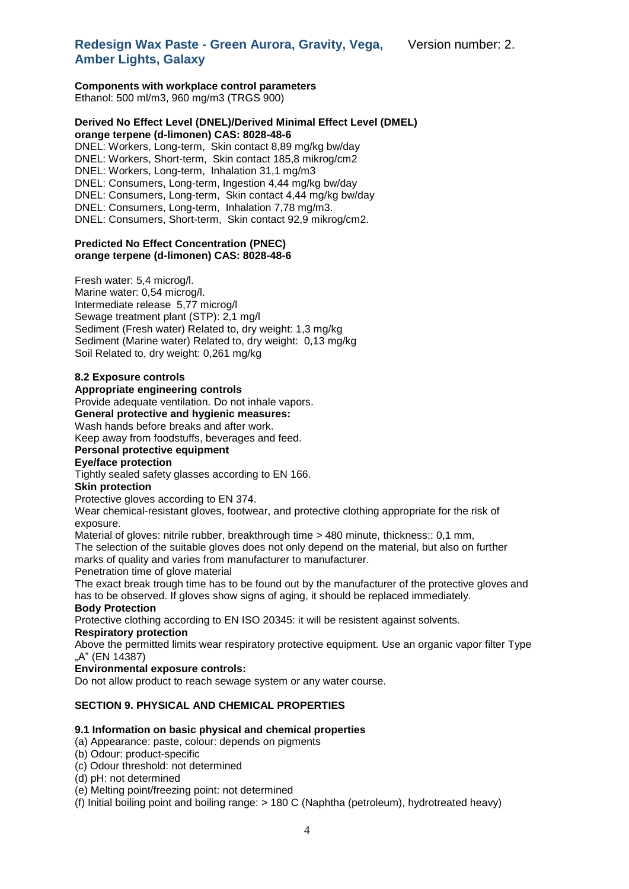Version number: 2.

# **Redesign Wax Paste - Green Aurora, Gravity, Vega, Amber Lights, Galaxy**

#### **Components with workplace control parameters** Ethanol: 500 ml/m3, 960 mg/m3 (TRGS 900)

#### **Derived No Effect Level (DNEL)/Derived Minimal Effect Level (DMEL) orange terpene (d-limonen) CAS: 8028-48-6**

DNEL: Workers, Long-term, Skin contact 8,89 mg/kg bw/day DNEL: Workers, Short-term, Skin contact 185,8 mikrog/cm2 DNEL: Workers, Long-term, Inhalation 31,1 mg/m3 DNEL: Consumers, Long-term, Ingestion 4,44 mg/kg bw/day DNEL: Consumers, Long-term, Skin contact 4,44 mg/kg bw/day DNEL: Consumers, Long-term, Inhalation 7,78 mg/m3. DNEL: Consumers, Short-term, Skin contact 92,9 mikrog/cm2.

#### **Predicted No Effect Concentration (PNEC) orange terpene (d-limonen) CAS: 8028-48-6**

Fresh water: 5,4 microg/l. Marine water: 0,54 microg/l. Intermediate release 5,77 microg/l Sewage treatment plant (STP): 2,1 mg/l Sediment (Fresh water) Related to, dry weight: 1,3 mg/kg Sediment (Marine water) Related to, dry weight: 0,13 mg/kg Soil Related to, dry weight: 0,261 mg/kg

### **8.2 Exposure controls**

### **Appropriate engineering controls**

Provide adequate ventilation. Do not inhale vapors.

#### **General protective and hygienic measures:**

Wash hands before breaks and after work.

Keep away from foodstuffs, beverages and feed.

#### **Personal protective equipment**

#### **Eye/face protection**

Tightly sealed safety glasses according to EN 166.

#### **Skin protection**

Protective gloves according to EN 374.

Wear chemical-resistant gloves, footwear, and protective clothing appropriate for the risk of exposure.

Material of gloves: nitrile rubber, breakthrough time > 480 minute, thickness:: 0,1 mm, The selection of the suitable gloves does not only depend on the material, but also on further marks of quality and varies from manufacturer to manufacturer.

Penetration time of glove material

The exact break trough time has to be found out by the manufacturer of the protective gloves and has to be observed. If gloves show signs of aging, it should be replaced immediately.

# **Body Protection**

Protective clothing according to EN ISO 20345: it will be resistent against solvents. **Respiratory protection**

Above the permitted limits wear respiratory protective equipment. Use an organic vapor filter Type .A" (EN 14387)

#### **Environmental exposure controls:**

Do not allow product to reach sewage system or any water course.

#### **SECTION 9. PHYSICAL AND CHEMICAL PROPERTIES**

#### **9.1 Information on basic physical and chemical properties**

- (a) Appearance: paste, colour: depends on pigments
- (b) Odour: product-specific
- (c) Odour threshold: not determined
- (d) pH: not determined
- (e) Melting point/freezing point: not determined
- (f) Initial boiling point and boiling range: > 180 C (Naphtha (petroleum), hydrotreated heavy)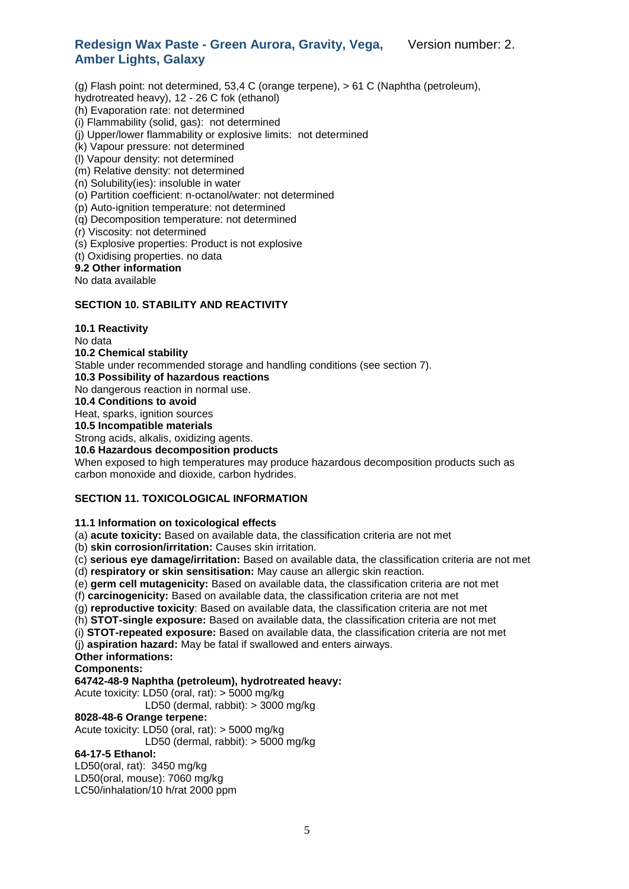(g) Flash point: not determined, 53,4 C (orange terpene), > 61 C (Naphtha (petroleum), hydrotreated heavy), 12 - 26 C fok (ethanol)

- (h) Evaporation rate: not determined
- (i) Flammability (solid, gas): not determined
- (j) Upper/lower flammability or explosive limits: not determined
- (k) Vapour pressure: not determined
- (l) Vapour density: not determined
- (m) Relative density: not determined
- (n) Solubility(ies): insoluble in water
- (o) Partition coefficient: n-octanol/water: not determined
- (p) Auto-ignition temperature: not determined
- (q) Decomposition temperature: not determined
- (r) Viscosity: not determined
- (s) Explosive properties: Product is not explosive
- (t) Oxidising properties. no data

# **9.2 Other information**

No data available

### **SECTION 10. STABILITY AND REACTIVITY**

**10.1 Reactivity** No data **10.2 Chemical stability** Stable under recommended storage and handling conditions (see section 7). **10.3 Possibility of hazardous reactions** No dangerous reaction in normal use. **10.4 Conditions to avoid** Heat, sparks, ignition sources **10.5 Incompatible materials** Strong acids, alkalis, oxidizing agents. **10.6 Hazardous decomposition products** When exposed to high temperatures may produce hazardous decomposition products such as carbon monoxide and dioxide, carbon hydrides.

#### **SECTION 11. TOXICOLOGICAL INFORMATION**

#### **11.1 Information on toxicological effects**

(a) **acute toxicity:** Based on available data, the classification criteria are not met

(b) **skin corrosion/irritation:** Causes skin irritation.

(c) **serious eye damage/irritation:** Based on available data, the classification criteria are not met

(d) **respiratory or skin sensitisation:** May cause an allergic skin reaction.

(e) **germ cell mutagenicity:** Based on available data, the classification criteria are not met

(f) **carcinogenicity:** Based on available data, the classification criteria are not met

(g) **reproductive toxicity**: Based on available data, the classification criteria are not met

(h) **STOT-single exposure:** Based on available data, the classification criteria are not met

(i) **STOT-repeated exposure:** Based on available data, the classification criteria are not met

(j) **aspiration hazard:** May be fatal if swallowed and enters airways.

#### **Other informations:**

#### **Components:**

#### **64742-48-9 Naphtha (petroleum), hydrotreated heavy:**

Acute toxicity: LD50 (oral, rat): > 5000 mg/kg

LD50 (dermal, rabbit): > 3000 mg/kg

#### **8028-48-6 Orange terpene:**

Acute toxicity: LD50 (oral, rat): > 5000 mg/kg

LD50 (dermal, rabbit): > 5000 mg/kg

#### **64-17-5 Ethanol:**

LD50(oral, rat): 3450 mg/kg

LD50(oral, mouse): 7060 mg/kg

LC50/inhalation/10 h/rat 2000 ppm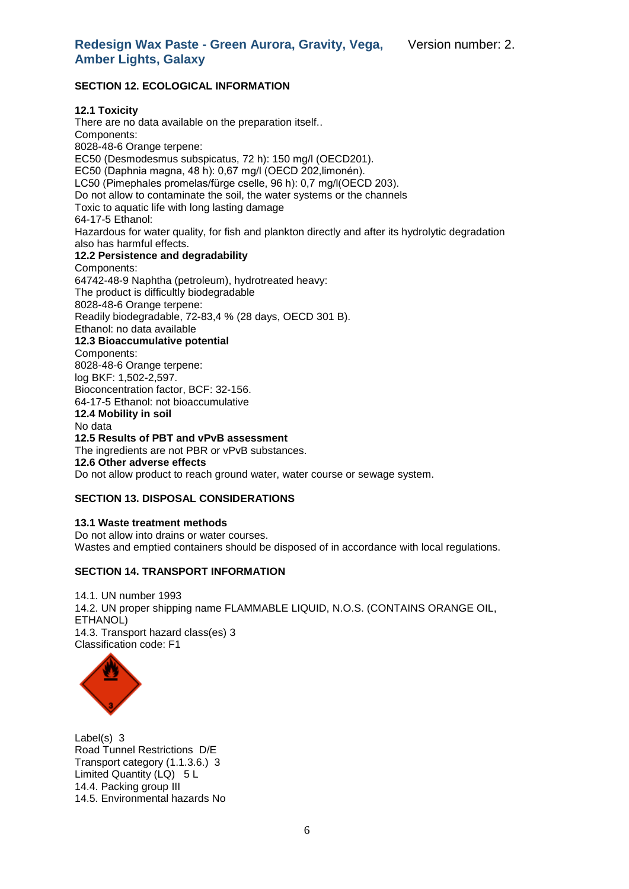# **SECTION 12. ECOLOGICAL INFORMATION**

# **12.1 Toxicity**

There are no data available on the preparation itself.. Components: 8028-48-6 Orange terpene: EC50 (Desmodesmus subspicatus, 72 h): 150 mg/l (OECD201). EC50 (Daphnia magna, 48 h): 0,67 mg/l (OECD 202,limonén). LC50 (Pimephales promelas/fürge cselle, 96 h): 0,7 mg/l(OECD 203). Do not allow to contaminate the soil, the water systems or the channels Toxic to aquatic life with long lasting damage 64-17-5 Ethanol: Hazardous for water quality, for fish and plankton directly and after its hydrolytic degradation also has harmful effects. **12.2 Persistence and degradability**  Components: 64742-48-9 Naphtha (petroleum), hydrotreated heavy: The product is difficultly biodegradable 8028-48-6 Orange terpene: Readily biodegradable, 72-83,4 % (28 days, OECD 301 B). Ethanol: no data available **12.3 Bioaccumulative potential**  Components: 8028-48-6 Orange terpene: log BKF: 1,502-2,597. Bioconcentration factor, BCF: 32-156. 64-17-5 Ethanol: not bioaccumulative **12.4 Mobility in soil**  No data **12.5 Results of PBT and vPvB assessment**  The ingredients are not PBR or vPvB substances. **12.6 Other adverse effects**  Do not allow product to reach ground water, water course or sewage system.

#### **SECTION 13. DISPOSAL CONSIDERATIONS**

**13.1 Waste treatment methods** Do not allow into drains or water courses. Wastes and emptied containers should be disposed of in accordance with local regulations.

#### **SECTION 14. TRANSPORT INFORMATION**

14.1. UN number 1993 14.2. UN proper shipping name FLAMMABLE LIQUID, N.O.S. (CONTAINS ORANGE OIL, ETHANOL) 14.3. Transport hazard class(es) 3 Classification code: F1



Label(s) 3 Road Tunnel Restrictions D/E Transport category (1.1.3.6.) 3 Limited Quantity (LQ) 5 L 14.4. Packing group III 14.5. Environmental hazards No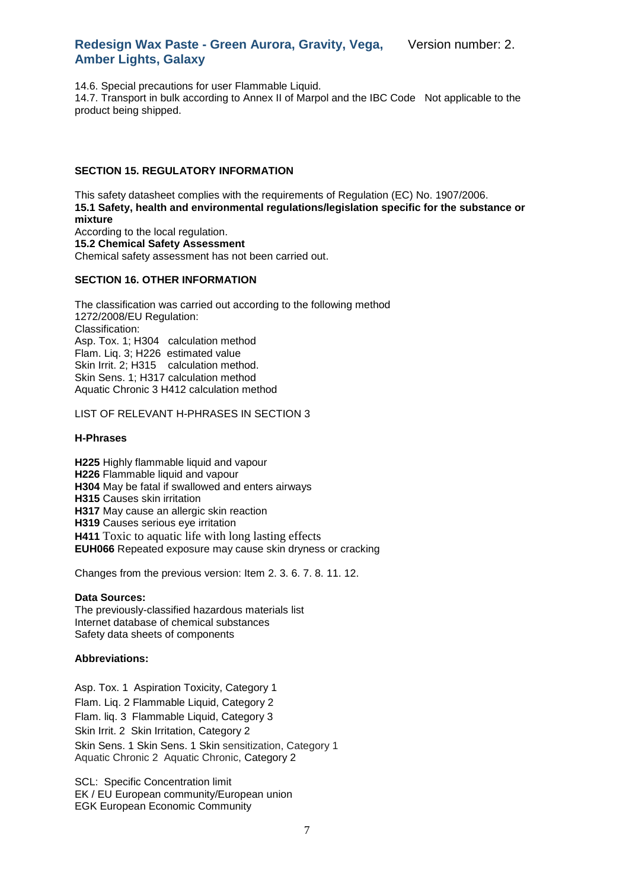Version number: 2.

14.6. Special precautions for user Flammable Liquid.

14.7. Transport in bulk according to Annex II of Marpol and the IBC Code Not applicable to the product being shipped.

#### **SECTION 15. REGULATORY INFORMATION**

This safety datasheet complies with the requirements of Regulation (EC) No. 1907/2006. **15.1 Safety, health and environmental regulations/legislation specific for the substance or mixture** According to the local regulation. **15.2 Chemical Safety Assessment** Chemical safety assessment has not been carried out.

# **SECTION 16. OTHER INFORMATION**

The classification was carried out according to the following method 1272/2008/EU Regulation: Classification: Asp. Tox. 1; H304 calculation method Flam. Liq. 3; H226 estimated value Skin Irrit. 2; H315 calculation method. Skin Sens. 1; H317 calculation method Aquatic Chronic 3 H412 calculation method

LIST OF RELEVANT H-PHRASES IN SECTION 3

#### **H-Phrases**

**H225** Highly flammable liquid and vapour **H226** Flammable liquid and vapour **H304** May be fatal if swallowed and enters airways **H315** Causes skin irritation **H317** May cause an allergic skin reaction **H319** Causes serious eye irritation **H411** Toxic to aquatic life with long lasting effects **EUH066** Repeated exposure may cause skin dryness or cracking

Changes from the previous version: Item 2. 3. 6. 7. 8. 11. 12.

#### **Data Sources:**

The previously-classified hazardous materials list Internet database of chemical substances Safety data sheets of components

#### **Abbreviations:**

Asp. Tox. 1 Aspiration Toxicity, Category 1 Flam. Liq. 2 Flammable Liquid, Category 2 Flam. liq. 3 Flammable Liquid, Category 3 Skin Irrit. 2 Skin Irritation, Category 2 Skin Sens. 1 Skin Sens. 1 Skin sensitization, Category 1 Aquatic Chronic 2 Aquatic Chronic, Category 2

SCL: Specific Concentration limit EK / EU European community/European union EGK European Economic Community